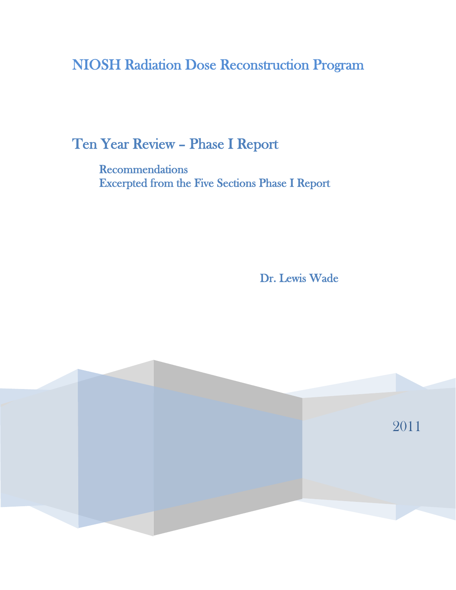NIOSH Radiation Dose Reconstruction Program

Ten Year Review – Phase I Report

**Recommendations** Excerpted from the Five Sections Phase I Report

Dr. Lewis Wade

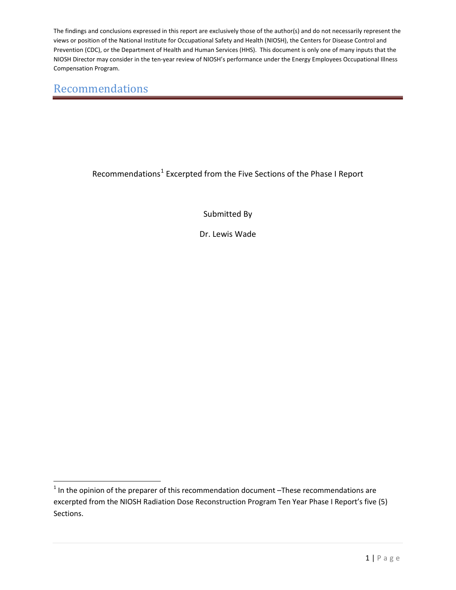#### Recommendations

l

Recommendations<sup>[1](#page-1-0)</sup> Excerpted from the Five Sections of the Phase I Report

Submitted By

Dr. Lewis Wade

<span id="page-1-0"></span> $1$  In the opinion of the preparer of this recommendation document  $-$ These recommendations are excerpted from the NIOSH Radiation Dose Reconstruction Program Ten Year Phase I Report's five (5) Sections.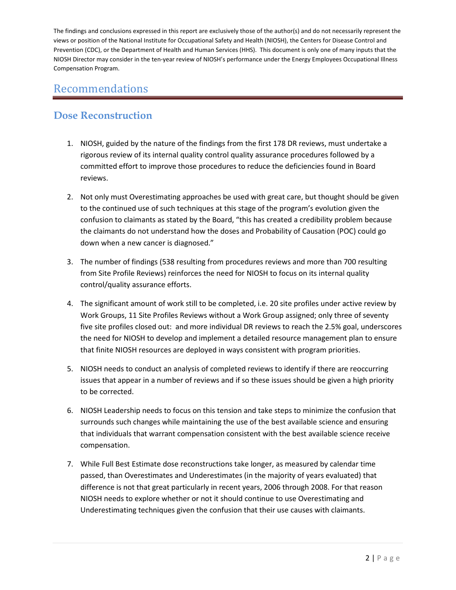## Recommendations

#### **Dose Reconstruction**

- 1. NIOSH, guided by the nature of the findings from the first 178 DR reviews, must undertake a rigorous review of its internal quality control quality assurance procedures followed by a committed effort to improve those procedures to reduce the deficiencies found in Board reviews.
- 2. Not only must Overestimating approaches be used with great care, but thought should be given to the continued use of such techniques at this stage of the program's evolution given the confusion to claimants as stated by the Board, "this has created a credibility problem because the claimants do not understand how the doses and Probability of Causation (POC) could go down when a new cancer is diagnosed."
- 3. The number of findings (538 resulting from procedures reviews and more than 700 resulting from Site Profile Reviews) reinforces the need for NIOSH to focus on its internal quality control/quality assurance efforts.
- 4. The significant amount of work still to be completed, i.e. 20 site profiles under active review by Work Groups, 11 Site Profiles Reviews without a Work Group assigned; only three of seventy five site profiles closed out: and more individual DR reviews to reach the 2.5% goal, underscores the need for NIOSH to develop and implement a detailed resource management plan to ensure that finite NIOSH resources are deployed in ways consistent with program priorities.
- 5. NIOSH needs to conduct an analysis of completed reviews to identify if there are reoccurring issues that appear in a number of reviews and if so these issues should be given a high priority to be corrected.
- 6. NIOSH Leadership needs to focus on this tension and take steps to minimize the confusion that surrounds such changes while maintaining the use of the best available science and ensuring that individuals that warrant compensation consistent with the best available science receive compensation.
- 7. While Full Best Estimate dose reconstructions take longer, as measured by calendar time passed, than Overestimates and Underestimates (in the majority of years evaluated) that difference is not that great particularly in recent years, 2006 through 2008. For that reason NIOSH needs to explore whether or not it should continue to use Overestimating and Underestimating techniques given the confusion that their use causes with claimants.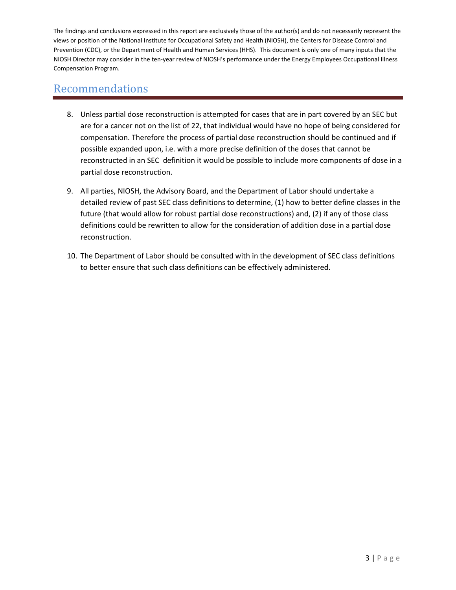- 8. Unless partial dose reconstruction is attempted for cases that are in part covered by an SEC but are for a cancer not on the list of 22, that individual would have no hope of being considered for compensation. Therefore the process of partial dose reconstruction should be continued and if possible expanded upon, i.e. with a more precise definition of the doses that cannot be reconstructed in an SEC definition it would be possible to include more components of dose in a partial dose reconstruction.
- 9. All parties, NIOSH, the Advisory Board, and the Department of Labor should undertake a detailed review of past SEC class definitions to determine, (1) how to better define classes in the future (that would allow for robust partial dose reconstructions) and, (2) if any of those class definitions could be rewritten to allow for the consideration of addition dose in a partial dose reconstruction.
- 10. The Department of Labor should be consulted with in the development of SEC class definitions to better ensure that such class definitions can be effectively administered.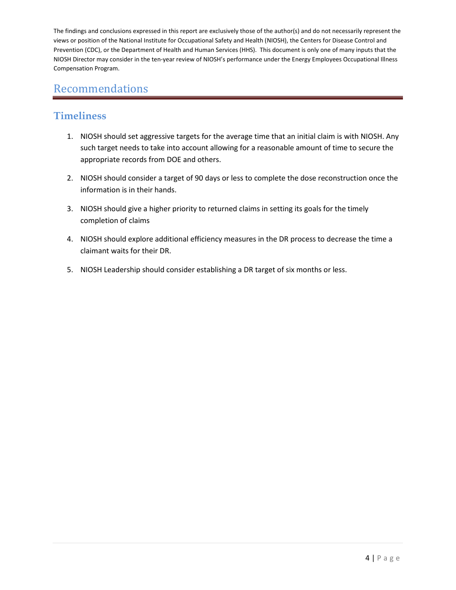## Recommendations

#### **Timeliness**

- 1. NIOSH should set aggressive targets for the average time that an initial claim is with NIOSH. Any such target needs to take into account allowing for a reasonable amount of time to secure the appropriate records from DOE and others.
- 2. NIOSH should consider a target of 90 days or less to complete the dose reconstruction once the information is in their hands.
- 3. NIOSH should give a higher priority to returned claims in setting its goals for the timely completion of claims
- 4. NIOSH should explore additional efficiency measures in the DR process to decrease the time a claimant waits for their DR.
- 5. NIOSH Leadership should consider establishing a DR target of six months or less.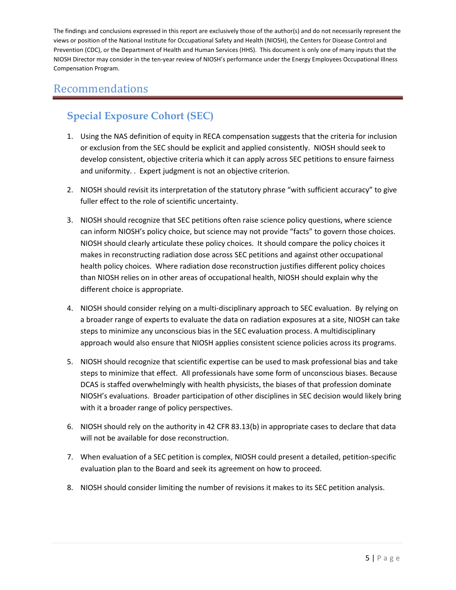## Recommendations

# **Special Exposure Cohort (SEC)**

- 1. Using the NAS definition of equity in RECA compensation suggests that the criteria for inclusion or exclusion from the SEC should be explicit and applied consistently. NIOSH should seek to develop consistent, objective criteria which it can apply across SEC petitions to ensure fairness and uniformity. . Expert judgment is not an objective criterion.
- 2. NIOSH should revisit its interpretation of the statutory phrase "with sufficient accuracy" to give fuller effect to the role of scientific uncertainty.
- 3. NIOSH should recognize that SEC petitions often raise science policy questions, where science can inform NIOSH's policy choice, but science may not provide "facts" to govern those choices. NIOSH should clearly articulate these policy choices. It should compare the policy choices it makes in reconstructing radiation dose across SEC petitions and against other occupational health policy choices. Where radiation dose reconstruction justifies different policy choices than NIOSH relies on in other areas of occupational health, NIOSH should explain why the different choice is appropriate.
- 4. NIOSH should consider relying on a multi-disciplinary approach to SEC evaluation. By relying on a broader range of experts to evaluate the data on radiation exposures at a site, NIOSH can take steps to minimize any unconscious bias in the SEC evaluation process. A multidisciplinary approach would also ensure that NIOSH applies consistent science policies across its programs.
- 5. NIOSH should recognize that scientific expertise can be used to mask professional bias and take steps to minimize that effect. All professionals have some form of unconscious biases. Because DCAS is staffed overwhelmingly with health physicists, the biases of that profession dominate NIOSH's evaluations. Broader participation of other disciplines in SEC decision would likely bring with it a broader range of policy perspectives.
- 6. NIOSH should rely on the authority in 42 CFR 83.13(b) in appropriate cases to declare that data will not be available for dose reconstruction.
- 7. When evaluation of a SEC petition is complex, NIOSH could present a detailed, petition-specific evaluation plan to the Board and seek its agreement on how to proceed.
- 8. NIOSH should consider limiting the number of revisions it makes to its SEC petition analysis.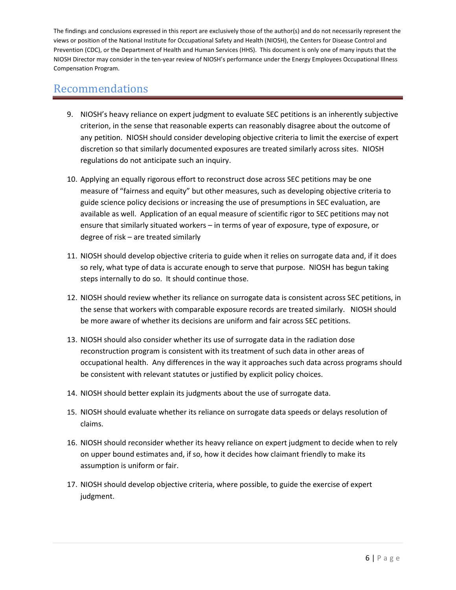- 9. NIOSH's heavy reliance on expert judgment to evaluate SEC petitions is an inherently subjective criterion, in the sense that reasonable experts can reasonably disagree about the outcome of any petition. NIOSH should consider developing objective criteria to limit the exercise of expert discretion so that similarly documented exposures are treated similarly across sites. NIOSH regulations do not anticipate such an inquiry.
- 10. Applying an equally rigorous effort to reconstruct dose across SEC petitions may be one measure of "fairness and equity" but other measures, such as developing objective criteria to guide science policy decisions or increasing the use of presumptions in SEC evaluation, are available as well. Application of an equal measure of scientific rigor to SEC petitions may not ensure that similarly situated workers – in terms of year of exposure, type of exposure, or degree of risk – are treated similarly
- 11. NIOSH should develop objective criteria to guide when it relies on surrogate data and, if it does so rely, what type of data is accurate enough to serve that purpose. NIOSH has begun taking steps internally to do so. It should continue those.
- 12. NIOSH should review whether its reliance on surrogate data is consistent across SEC petitions, in the sense that workers with comparable exposure records are treated similarly. NIOSH should be more aware of whether its decisions are uniform and fair across SEC petitions.
- 13. NIOSH should also consider whether its use of surrogate data in the radiation dose reconstruction program is consistent with its treatment of such data in other areas of occupational health. Any differences in the way it approaches such data across programs should be consistent with relevant statutes or justified by explicit policy choices.
- 14. NIOSH should better explain its judgments about the use of surrogate data.
- 15. NIOSH should evaluate whether its reliance on surrogate data speeds or delays resolution of claims.
- 16. NIOSH should reconsider whether its heavy reliance on expert judgment to decide when to rely on upper bound estimates and, if so, how it decides how claimant friendly to make its assumption is uniform or fair.
- 17. NIOSH should develop objective criteria, where possible, to guide the exercise of expert judgment.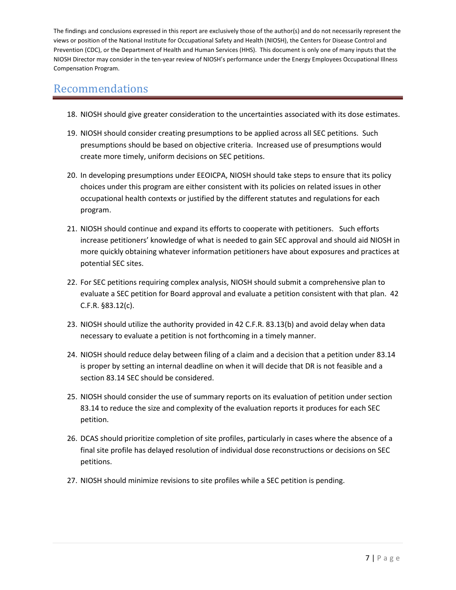- 18. NIOSH should give greater consideration to the uncertainties associated with its dose estimates.
- 19. NIOSH should consider creating presumptions to be applied across all SEC petitions. Such presumptions should be based on objective criteria. Increased use of presumptions would create more timely, uniform decisions on SEC petitions.
- 20. In developing presumptions under EEOICPA, NIOSH should take steps to ensure that its policy choices under this program are either consistent with its policies on related issues in other occupational health contexts or justified by the different statutes and regulations for each program.
- 21. NIOSH should continue and expand its efforts to cooperate with petitioners. Such efforts increase petitioners' knowledge of what is needed to gain SEC approval and should aid NIOSH in more quickly obtaining whatever information petitioners have about exposures and practices at potential SEC sites.
- 22. For SEC petitions requiring complex analysis, NIOSH should submit a comprehensive plan to evaluate a SEC petition for Board approval and evaluate a petition consistent with that plan. 42 C.F.R. §83.12(c).
- 23. NIOSH should utilize the authority provided in 42 C.F.R. 83.13(b) and avoid delay when data necessary to evaluate a petition is not forthcoming in a timely manner.
- 24. NIOSH should reduce delay between filing of a claim and a decision that a petition under 83.14 is proper by setting an internal deadline on when it will decide that DR is not feasible and a section 83.14 SEC should be considered.
- 25. NIOSH should consider the use of summary reports on its evaluation of petition under section 83.14 to reduce the size and complexity of the evaluation reports it produces for each SEC petition.
- 26. DCAS should prioritize completion of site profiles, particularly in cases where the absence of a final site profile has delayed resolution of individual dose reconstructions or decisions on SEC petitions.
- 27. NIOSH should minimize revisions to site profiles while a SEC petition is pending.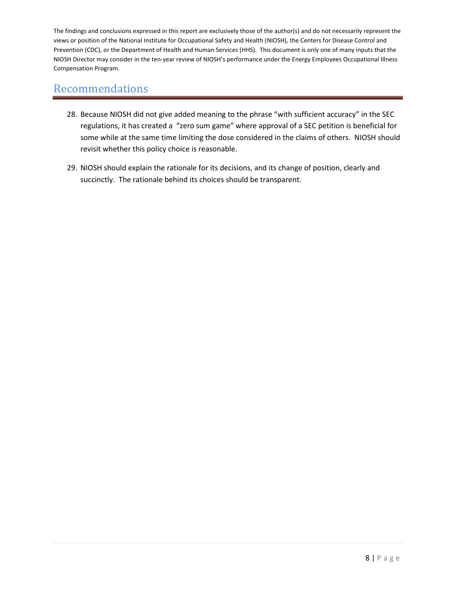- 28. Because NIOSH did not give added meaning to the phrase "with sufficient accuracy" in the SEC regulations, it has created a "zero sum game" where approval of a SEC petition is beneficial for some while at the same time limiting the dose considered in the claims of others. NIOSH should revisit whether this policy choice is reasonable.
- 29. NIOSH should explain the rationale for its decisions, and its change of position, clearly and succinctly. The rationale behind its choices should be transparent.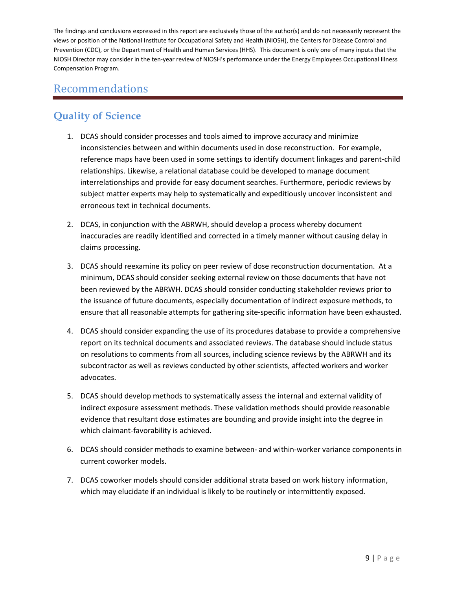## Recommendations

## **Quality of Science**

- 1. DCAS should consider processes and tools aimed to improve accuracy and minimize inconsistencies between and within documents used in dose reconstruction. For example, reference maps have been used in some settings to identify document linkages and parent-child relationships. Likewise, a relational database could be developed to manage document interrelationships and provide for easy document searches. Furthermore, periodic reviews by subject matter experts may help to systematically and expeditiously uncover inconsistent and erroneous text in technical documents.
- 2. DCAS, in conjunction with the ABRWH, should develop a process whereby document inaccuracies are readily identified and corrected in a timely manner without causing delay in claims processing.
- 3. DCAS should reexamine its policy on peer review of dose reconstruction documentation. At a minimum, DCAS should consider seeking external review on those documents that have not been reviewed by the ABRWH. DCAS should consider conducting stakeholder reviews prior to the issuance of future documents, especially documentation of indirect exposure methods, to ensure that all reasonable attempts for gathering site-specific information have been exhausted.
- 4. DCAS should consider expanding the use of its procedures database to provide a comprehensive report on its technical documents and associated reviews. The database should include status on resolutions to comments from all sources, including science reviews by the ABRWH and its subcontractor as well as reviews conducted by other scientists, affected workers and worker advocates.
- 5. DCAS should develop methods to systematically assess the internal and external validity of indirect exposure assessment methods. These validation methods should provide reasonable evidence that resultant dose estimates are bounding and provide insight into the degree in which claimant-favorability is achieved.
- 6. DCAS should consider methods to examine between- and within-worker variance components in current coworker models.
- 7. DCAS coworker models should consider additional strata based on work history information, which may elucidate if an individual is likely to be routinely or intermittently exposed.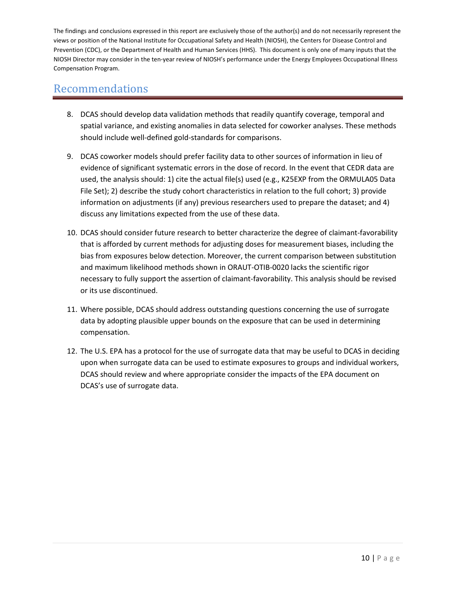- 8. DCAS should develop data validation methods that readily quantify coverage, temporal and spatial variance, and existing anomalies in data selected for coworker analyses. These methods should include well-defined gold-standards for comparisons.
- 9. DCAS coworker models should prefer facility data to other sources of information in lieu of evidence of significant systematic errors in the dose of record. In the event that CEDR data are used, the analysis should: 1) cite the actual file(s) used (e.g., K25EXP from the ORMULA05 Data File Set); 2) describe the study cohort characteristics in relation to the full cohort; 3) provide information on adjustments (if any) previous researchers used to prepare the dataset; and 4) discuss any limitations expected from the use of these data.
- 10. DCAS should consider future research to better characterize the degree of claimant-favorability that is afforded by current methods for adjusting doses for measurement biases, including the bias from exposures below detection. Moreover, the current comparison between substitution and maximum likelihood methods shown in ORAUT-OTIB-0020 lacks the scientific rigor necessary to fully support the assertion of claimant-favorability. This analysis should be revised or its use discontinued.
- 11. Where possible, DCAS should address outstanding questions concerning the use of surrogate data by adopting plausible upper bounds on the exposure that can be used in determining compensation.
- 12. The U.S. EPA has a protocol for the use of surrogate data that may be useful to DCAS in deciding upon when surrogate data can be used to estimate exposures to groups and individual workers, DCAS should review and where appropriate consider the impacts of the EPA document on DCAS's use of surrogate data.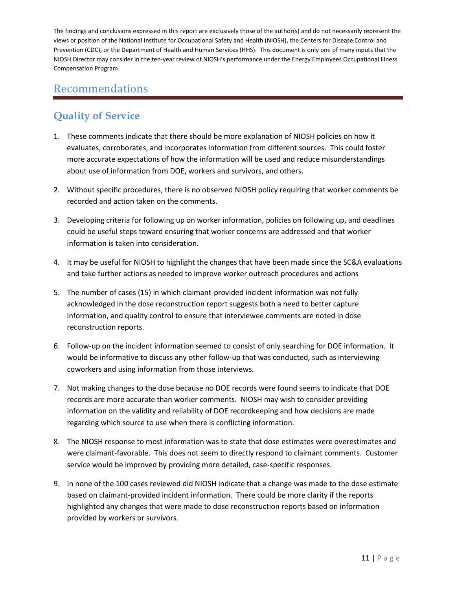## Recommendations

## **Quality of Service**

- 1. These comments indicate that there should be more explanation of NIOSH policies on how it evaluates, corroborates, and incorporates information from different sources. This could foster more accurate expectations of how the information will be used and reduce misunderstandings about use of information from DOE, workers and survivors, and others.
- 2. Without specific procedures, there is no observed NIOSH policy requiring that worker comments be recorded and action taken on the comments.
- 3. Developing criteria for following up on worker information, policies on following up, and deadlines could be useful steps toward ensuring that worker concerns are addressed and that worker information is taken into consideration.
- 4. It may be useful for NIOSH to highlight the changes that have been made since the SC&A evaluations and take further actions as needed to improve worker outreach procedures and actions
- 5. The number of cases (15) in which claimant-provided incident information was not fully acknowledged in the dose reconstruction report suggests both a need to better capture information, and quality control to ensure that interviewee comments are noted in dose reconstruction reports.
- 6. Follow-up on the incident information seemed to consist of only searching for DOE information. It would be informative to discuss any other follow-up that was conducted, such as interviewing coworkers and using information from those interviews.
- 7. Not making changes to the dose because no DOE records were found seems to indicate that DOE records are more accurate than worker comments. NIOSH may wish to consider providing information on the validity and reliability of DOE recordkeeping and how decisions are made regarding which source to use when there is conflicting information.
- 8. The NIOSH response to most information was to state that dose estimates were overestimates and were claimant-favorable. This does not seem to directly respond to claimant comments. Customer service would be improved by providing more detailed, case-specific responses.
- 9. In none of the 100 cases reviewed did NIOSH indicate that a change was made to the dose estimate based on claimant-provided incident information. There could be more clarity if the reports highlighted any changes that were made to dose reconstruction reports based on information provided by workers or survivors.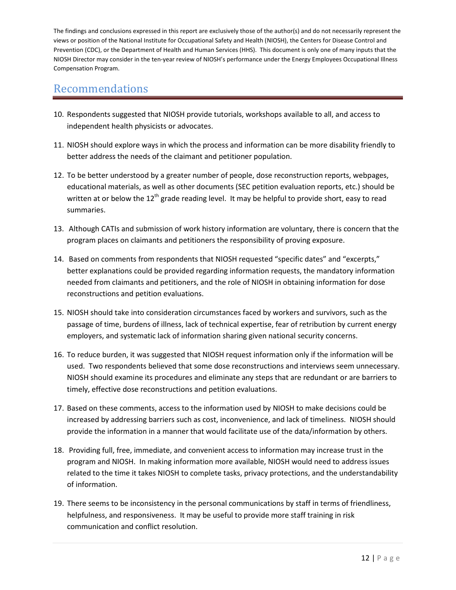- 10. Respondents suggested that NIOSH provide tutorials, workshops available to all, and access to independent health physicists or advocates.
- 11. NIOSH should explore ways in which the process and information can be more disability friendly to better address the needs of the claimant and petitioner population.
- 12. To be better understood by a greater number of people, dose reconstruction reports, webpages, educational materials, as well as other documents (SEC petition evaluation reports, etc.) should be written at or below the 12<sup>th</sup> grade reading level. It may be helpful to provide short, easy to read summaries.
- 13. Although CATIs and submission of work history information are voluntary, there is concern that the program places on claimants and petitioners the responsibility of proving exposure.
- 14. Based on comments from respondents that NIOSH requested "specific dates" and "excerpts," better explanations could be provided regarding information requests, the mandatory information needed from claimants and petitioners, and the role of NIOSH in obtaining information for dose reconstructions and petition evaluations.
- 15. NIOSH should take into consideration circumstances faced by workers and survivors, such as the passage of time, burdens of illness, lack of technical expertise, fear of retribution by current energy employers, and systematic lack of information sharing given national security concerns.
- 16. To reduce burden, it was suggested that NIOSH request information only if the information will be used. Two respondents believed that some dose reconstructions and interviews seem unnecessary. NIOSH should examine its procedures and eliminate any steps that are redundant or are barriers to timely, effective dose reconstructions and petition evaluations.
- 17. Based on these comments, access to the information used by NIOSH to make decisions could be increased by addressing barriers such as cost, inconvenience, and lack of timeliness. NIOSH should provide the information in a manner that would facilitate use of the data/information by others.
- 18. Providing full, free, immediate, and convenient access to information may increase trust in the program and NIOSH. In making information more available, NIOSH would need to address issues related to the time it takes NIOSH to complete tasks, privacy protections, and the understandability of information.
- 19. There seems to be inconsistency in the personal communications by staff in terms of friendliness, helpfulness, and responsiveness. It may be useful to provide more staff training in risk communication and conflict resolution.